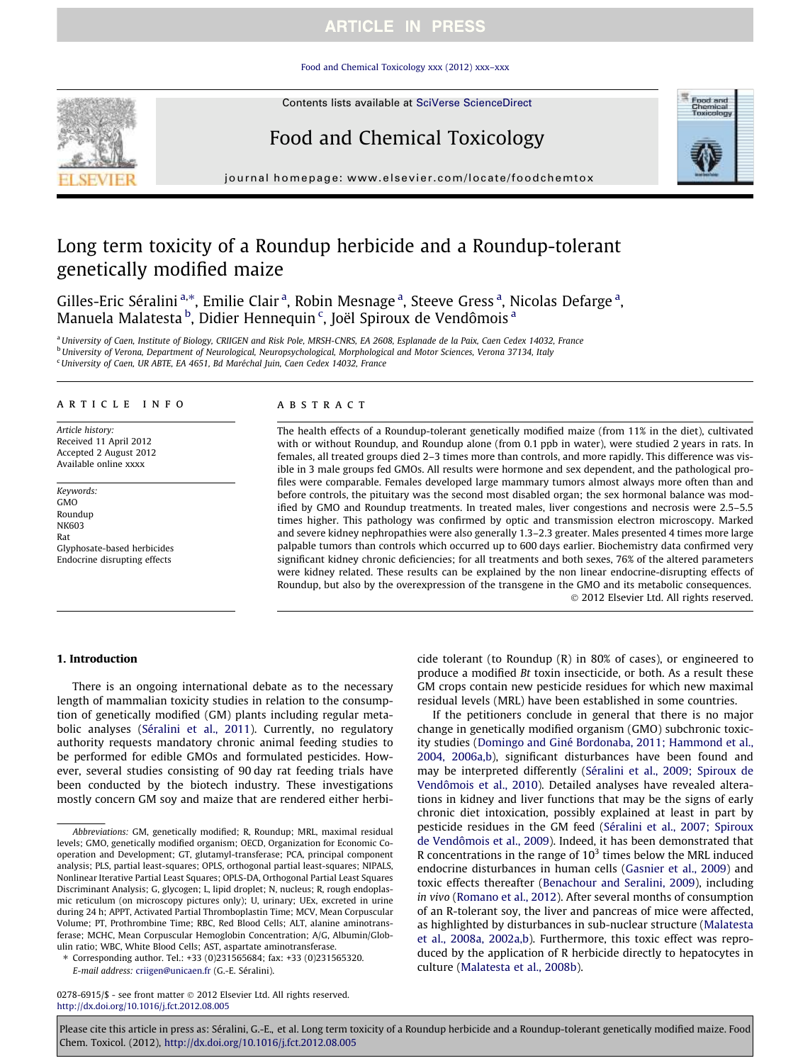[Food and Chemical Toxicology xxx \(2012\) xxx–xxx](http://dx.doi.org/10.1016/j.fct.2012.08.005)



Contents lists available at [SciVerse ScienceDirect](http://www.sciencedirect.com/science/journal/02786915)

# Food and Chemical Toxicology



journal homepage: [www.elsevier.com/locate/foodchemtox](http://www.elsevier.com/locate/foodchemtox)

# Long term toxicity of a Roundup herbicide and a Roundup-tolerant genetically modified maize

Gilles-Eric Séralini<sup>a,\*</sup>, Emilie Clair<sup>a</sup>, Robin Mesnage<sup>a</sup>, Steeve Gress<sup>a</sup>, Nicolas Defarge<sup>a</sup>, Manuela Malatesta <sup>b</sup>, Didier Hennequin <sup>c</sup>, Joël Spiroux de Vendômois <sup>a</sup>

<sup>a</sup> University of Caen, Institute of Biology, CRIIGEN and Risk Pole, MRSH-CNRS, EA 2608, Esplanade de la Paix, Caen Cedex 14032, France **b** University of Verona, Department of Neurological, Neuropsychological, Morphological and Motor Sciences, Verona 37134, Italy <sup>c</sup>University of Caen, UR ABTE, EA 4651, Bd Maréchal Juin, Caen Cedex 14032, France

#### article info

Article history: Received 11 April 2012 Accepted 2 August 2012 Available online xxxx

Keywords: GMO Roundup NK603 Rat Glyphosate-based herbicides Endocrine disrupting effects

# **ABSTRACT**

The health effects of a Roundup-tolerant genetically modified maize (from 11% in the diet), cultivated with or without Roundup, and Roundup alone (from 0.1 ppb in water), were studied 2 years in rats. In females, all treated groups died 2–3 times more than controls, and more rapidly. This difference was visible in 3 male groups fed GMOs. All results were hormone and sex dependent, and the pathological profiles were comparable. Females developed large mammary tumors almost always more often than and before controls, the pituitary was the second most disabled organ; the sex hormonal balance was modified by GMO and Roundup treatments. In treated males, liver congestions and necrosis were 2.5–5.5 times higher. This pathology was confirmed by optic and transmission electron microscopy. Marked and severe kidney nephropathies were also generally 1.3–2.3 greater. Males presented 4 times more large palpable tumors than controls which occurred up to 600 days earlier. Biochemistry data confirmed very significant kidney chronic deficiencies; for all treatments and both sexes, 76% of the altered parameters were kidney related. These results can be explained by the non linear endocrine-disrupting effects of Roundup, but also by the overexpression of the transgene in the GMO and its metabolic consequences.  $@$  2012 Elsevier Ltd. All rights reserved.

## 1. Introduction

There is an ongoing international debate as to the necessary length of mammalian toxicity studies in relation to the consumption of genetically modified (GM) plants including regular metabolic analyses [\(Séralini et al., 2011\)](#page-10-0). Currently, no regulatory authority requests mandatory chronic animal feeding studies to be performed for edible GMOs and formulated pesticides. However, several studies consisting of 90 day rat feeding trials have been conducted by the biotech industry. These investigations mostly concern GM soy and maize that are rendered either herbi-

0278-6915/\$ - see front matter © 2012 Elsevier Ltd. All rights reserved. <http://dx.doi.org/10.1016/j.fct.2012.08.005>

cide tolerant (to Roundup (R) in 80% of cases), or engineered to produce a modified Bt toxin insecticide, or both. As a result these GM crops contain new pesticide residues for which new maximal residual levels (MRL) have been established in some countries.

If the petitioners conclude in general that there is no major change in genetically modified organism (GMO) subchronic toxicity studies ([Domingo and Giné Bordonaba, 2011; Hammond et al.,](#page-9-0) [2004, 2006a,b](#page-9-0)), significant disturbances have been found and may be interpreted differently [\(Séralini et al., 2009; Spiroux de](#page-10-0) [Vendômois et al., 2010](#page-10-0)). Detailed analyses have revealed alterations in kidney and liver functions that may be the signs of early chronic diet intoxication, possibly explained at least in part by pesticide residues in the GM feed ([Séralini et al., 2007; Spiroux](#page-10-0) [de Vendômois et al., 2009](#page-10-0)). Indeed, it has been demonstrated that R concentrations in the range of  $10^3$  times below the MRL induced endocrine disturbances in human cells [\(Gasnier et al., 2009](#page-9-0)) and toxic effects thereafter [\(Benachour and Seralini, 2009\)](#page-9-0), including in vivo [\(Romano et al., 2012\)](#page-10-0). After several months of consumption of an R-tolerant soy, the liver and pancreas of mice were affected, as highlighted by disturbances in sub-nuclear structure ([Malatesta](#page-10-0) [et al., 2008a, 2002a,b\)](#page-10-0). Furthermore, this toxic effect was reproduced by the application of R herbicide directly to hepatocytes in culture [\(Malatesta et al., 2008b\)](#page-10-0).

Abbreviations: GM, genetically modified; R, Roundup; MRL, maximal residual levels; GMO, genetically modified organism; OECD, Organization for Economic Cooperation and Development; GT, glutamyl-transferase; PCA, principal component analysis; PLS, partial least-squares; OPLS, orthogonal partial least-squares; NIPALS, Nonlinear Iterative Partial Least Squares; OPLS-DA, Orthogonal Partial Least Squares Discriminant Analysis; G, glycogen; L, lipid droplet; N, nucleus; R, rough endoplasmic reticulum (on microscopy pictures only); U, urinary; UEx, excreted in urine during 24 h; APPT, Activated Partial Thromboplastin Time; MCV, Mean Corpuscular Volume; PT, Prothrombine Time; RBC, Red Blood Cells; ALT, alanine aminotransferase; MCHC, Mean Corpuscular Hemoglobin Concentration; A/G, Albumin/Globulin ratio; WBC, White Blood Cells; AST, aspartate aminotransferase.

<sup>⇑</sup> Corresponding author. Tel.: +33 (0)231565684; fax: +33 (0)231565320. E-mail address: [criigen@unicaen.fr](mailto:criigen@unicaen.fr) (G.-E. Séralini).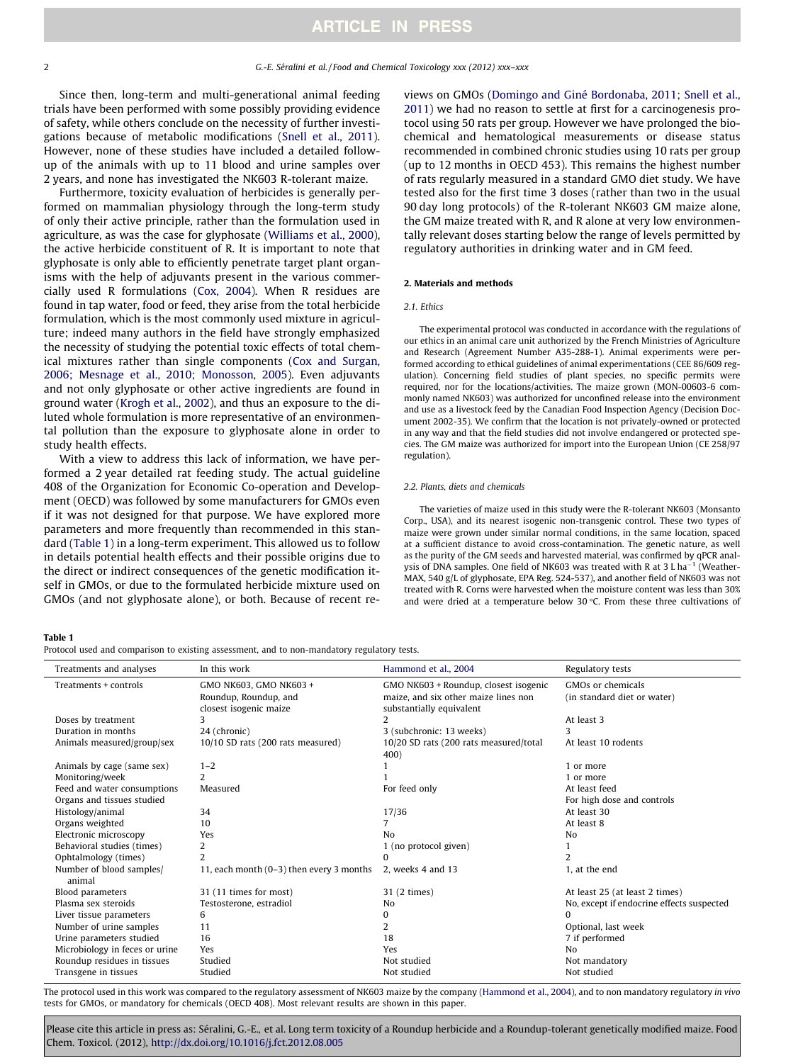<span id="page-1-0"></span>Since then, long-term and multi-generational animal feeding trials have been performed with some possibly providing evidence of safety, while others conclude on the necessity of further investigations because of metabolic modifications ([Snell et al., 2011\)](#page-10-0). However, none of these studies have included a detailed followup of the animals with up to 11 blood and urine samples over 2 years, and none has investigated the NK603 R-tolerant maize.

Furthermore, toxicity evaluation of herbicides is generally performed on mammalian physiology through the long-term study of only their active principle, rather than the formulation used in agriculture, as was the case for glyphosate [\(Williams et al., 2000\)](#page-10-0), the active herbicide constituent of R. It is important to note that glyphosate is only able to efficiently penetrate target plant organisms with the help of adjuvants present in the various commercially used R formulations ([Cox, 2004](#page-9-0)). When R residues are found in tap water, food or feed, they arise from the total herbicide formulation, which is the most commonly used mixture in agriculture; indeed many authors in the field have strongly emphasized the necessity of studying the potential toxic effects of total chemical mixtures rather than single components ([Cox and Surgan,](#page-9-0) [2006; Mesnage et al., 2010; Monosson, 2005\)](#page-9-0). Even adjuvants and not only glyphosate or other active ingredients are found in ground water ([Krogh et al., 2002\)](#page-9-0), and thus an exposure to the diluted whole formulation is more representative of an environmental pollution than the exposure to glyphosate alone in order to study health effects.

With a view to address this lack of information, we have performed a 2 year detailed rat feeding study. The actual guideline 408 of the Organization for Economic Co-operation and Development (OECD) was followed by some manufacturers for GMOs even if it was not designed for that purpose. We have explored more parameters and more frequently than recommended in this standard (Table 1) in a long-term experiment. This allowed us to follow in details potential health effects and their possible origins due to the direct or indirect consequences of the genetic modification itself in GMOs, or due to the formulated herbicide mixture used on GMOs (and not glyphosate alone), or both. Because of recent reviews on GMOs [\(Domingo and Giné Bordonaba, 2011; Snell et al.,](#page-9-0) [2011\)](#page-9-0) we had no reason to settle at first for a carcinogenesis protocol using 50 rats per group. However we have prolonged the biochemical and hematological measurements or disease status recommended in combined chronic studies using 10 rats per group (up to 12 months in OECD 453). This remains the highest number of rats regularly measured in a standard GMO diet study. We have tested also for the first time 3 doses (rather than two in the usual 90 day long protocols) of the R-tolerant NK603 GM maize alone, the GM maize treated with R, and R alone at very low environmentally relevant doses starting below the range of levels permitted by regulatory authorities in drinking water and in GM feed.

#### 2. Materials and methods

#### 2.1. Ethics

The experimental protocol was conducted in accordance with the regulations of our ethics in an animal care unit authorized by the French Ministries of Agriculture and Research (Agreement Number A35-288-1). Animal experiments were performed according to ethical guidelines of animal experimentations (CEE 86/609 regulation). Concerning field studies of plant species, no specific permits were required, nor for the locations/activities. The maize grown (MON-00603-6 commonly named NK603) was authorized for unconfined release into the environment and use as a livestock feed by the Canadian Food Inspection Agency (Decision Document 2002-35). We confirm that the location is not privately-owned or protected in any way and that the field studies did not involve endangered or protected species. The GM maize was authorized for import into the European Union (CE 258/97 regulation).

#### 2.2. Plants, diets and chemicals

The varieties of maize used in this study were the R-tolerant NK603 (Monsanto Corp., USA), and its nearest isogenic non-transgenic control. These two types of maize were grown under similar normal conditions, in the same location, spaced at a sufficient distance to avoid cross-contamination. The genetic nature, as well as the purity of the GM seeds and harvested material, was confirmed by qPCR analysis of DNA samples. One field of NK603 was treated with R at  $3 L$  ha<sup> $-1$ </sup> (Weather-MAX, 540 g/L of glyphosate, EPA Reg. 524-537), and another field of NK603 was not treated with R. Corns were harvested when the moisture content was less than 30% and were dried at a temperature below 30  $\degree$ C. From these three cultivations of

## Table 1

Protocol used and comparison to existing assessment, and to non-mandatory regulatory tests.

| Treatments and analyses            | In this work                               | Hammond et al., 2004                   | Regulatory tests                          |
|------------------------------------|--------------------------------------------|----------------------------------------|-------------------------------------------|
| Treatments + controls              | GMO NK603, GMO NK603 +                     | GMO NK603 + Roundup, closest isogenic  | GMOs or chemicals                         |
|                                    | Roundup, Roundup, and                      | maize, and six other maize lines non   | (in standard diet or water)               |
|                                    | closest isogenic maize                     | substantially equivalent               |                                           |
| Doses by treatment                 | 3                                          | 2                                      | At least 3                                |
| Duration in months                 | 24 (chronic)                               | 3 (subchronic: 13 weeks)               | 3                                         |
| Animals measured/group/sex         | 10/10 SD rats (200 rats measured)          | 10/20 SD rats (200 rats measured/total | At least 10 rodents                       |
|                                    |                                            | 400)                                   |                                           |
| Animals by cage (same sex)         | $1 - 2$                                    |                                        | 1 or more                                 |
| Monitoring/week                    | 2                                          |                                        | 1 or more                                 |
| Feed and water consumptions        | Measured                                   | For feed only                          | At least feed                             |
| Organs and tissues studied         |                                            |                                        | For high dose and controls                |
| Histology/animal                   | 34                                         | 17/36                                  | At least 30                               |
| Organs weighted                    | 10                                         |                                        | At least 8                                |
| Electronic microscopy              | Yes                                        | N <sub>0</sub>                         | No                                        |
| Behavioral studies (times)         | 2                                          | 1 (no protocol given)                  |                                           |
| Ophtalmology (times)               | $\overline{2}$                             | $\Omega$                               | $\overline{\mathcal{L}}$                  |
| Number of blood samples/<br>animal | 11, each month $(0-3)$ then every 3 months | 2. weeks $4$ and $13$                  | 1, at the end                             |
| Blood parameters                   | 31 (11 times for most)                     | 31 (2 times)                           | At least 25 (at least 2 times)            |
| Plasma sex steroids                | Testosterone, estradiol                    | No                                     | No, except if endocrine effects suspected |
| Liver tissue parameters            | 6                                          |                                        | 0                                         |
| Number of urine samples            | 11                                         |                                        | Optional, last week                       |
| Urine parameters studied           | 16                                         | 18                                     | 7 if performed                            |
| Microbiology in feces or urine     | Yes                                        | Yes                                    | No                                        |
| Roundup residues in tissues        | Studied                                    | Not studied                            | Not mandatory                             |
| Transgene in tissues               | Studied                                    | Not studied                            | Not studied                               |

The protocol used in this work was compared to the regulatory assessment of NK603 maize by the company [\(Hammond et al., 2004\)](#page-9-0), and to non mandatory regulatory in vivo tests for GMOs, or mandatory for chemicals (OECD 408). Most relevant results are shown in this paper.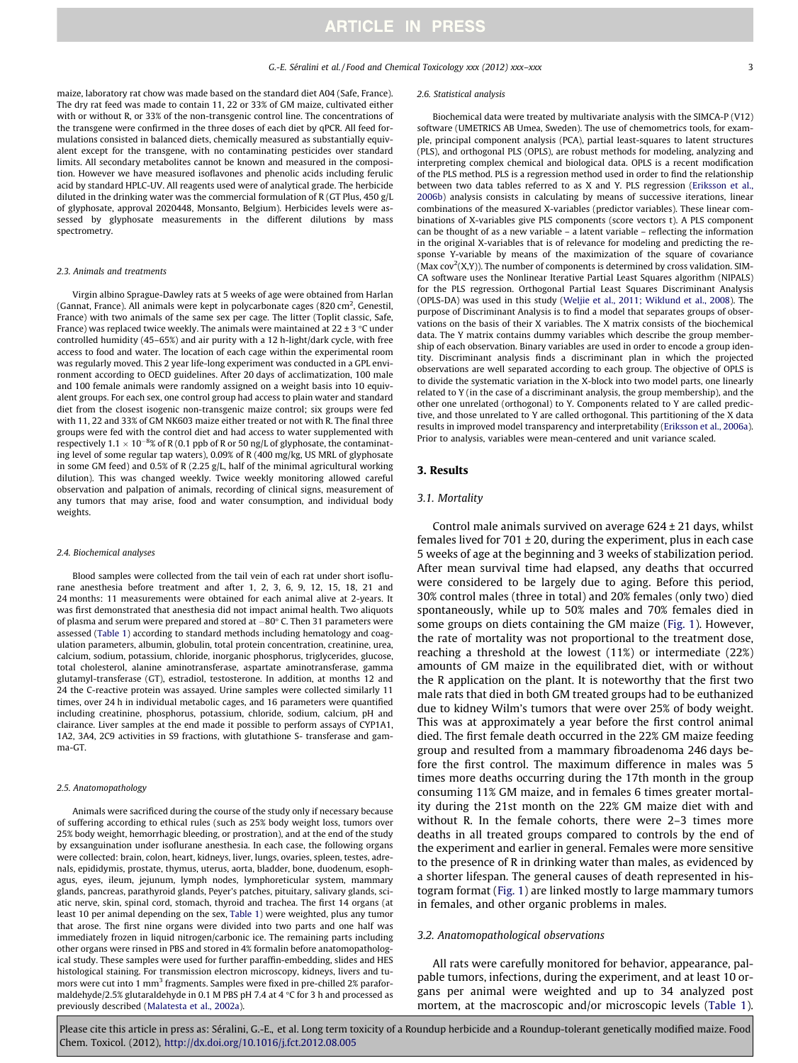maize, laboratory rat chow was made based on the standard diet A04 (Safe, France). The dry rat feed was made to contain 11, 22 or 33% of GM maize, cultivated either with or without R, or 33% of the non-transgenic control line. The concentrations of the transgene were confirmed in the three doses of each diet by qPCR. All feed formulations consisted in balanced diets, chemically measured as substantially equivalent except for the transgene, with no contaminating pesticides over standard limits. All secondary metabolites cannot be known and measured in the composition. However we have measured isoflavones and phenolic acids including ferulic acid by standard HPLC-UV. All reagents used were of analytical grade. The herbicide diluted in the drinking water was the commercial formulation of R (GT Plus, 450 g/L of glyphosate, approval 2020448, Monsanto, Belgium). Herbicides levels were assessed by glyphosate measurements in the different dilutions by mass spectrometry.

#### 2.3. Animals and treatments

Virgin albino Sprague-Dawley rats at 5 weeks of age were obtained from Harlan (Gannat, France). All animals were kept in polycarbonate cages (820 cm<sup>2</sup>, Genestil, France) with two animals of the same sex per cage. The litter (Toplit classic, Safe, France) was replaced twice weekly. The animals were maintained at  $22 \pm 3$  °C under controlled humidity (45–65%) and air purity with a 12 h-light/dark cycle, with free access to food and water. The location of each cage within the experimental room was regularly moved. This 2 year life-long experiment was conducted in a GPL environment according to OECD guidelines. After 20 days of acclimatization, 100 male and 100 female animals were randomly assigned on a weight basis into 10 equivalent groups. For each sex, one control group had access to plain water and standard diet from the closest isogenic non-transgenic maize control; six groups were fed with 11, 22 and 33% of GM NK603 maize either treated or not with R. The final three groups were fed with the control diet and had access to water supplemented with respectively  $1.1 \times 10^{-8}$ % of R (0.1 ppb of R or 50 ng/L of glyphosate, the contaminating level of some regular tap waters), 0.09% of R (400 mg/kg, US MRL of glyphosate in some GM feed) and 0.5% of R (2.25 g/L, half of the minimal agricultural working dilution). This was changed weekly. Twice weekly monitoring allowed careful observation and palpation of animals, recording of clinical signs, measurement of any tumors that may arise, food and water consumption, and individual body weights.

#### 2.4. Biochemical analyses

Blood samples were collected from the tail vein of each rat under short isoflurane anesthesia before treatment and after 1, 2, 3, 6, 9, 12, 15, 18, 21 and 24 months: 11 measurements were obtained for each animal alive at 2-years. It was first demonstrated that anesthesia did not impact animal health. Two aliquots of plasma and serum were prepared and stored at  $-80^{\circ}$  C. Then 31 parameters were assessed ([Table 1\)](#page-1-0) according to standard methods including hematology and coagulation parameters, albumin, globulin, total protein concentration, creatinine, urea, calcium, sodium, potassium, chloride, inorganic phosphorus, triglycerides, glucose, total cholesterol, alanine aminotransferase, aspartate aminotransferase, gamma glutamyl-transferase (GT), estradiol, testosterone. In addition, at months 12 and 24 the C-reactive protein was assayed. Urine samples were collected similarly 11 times, over 24 h in individual metabolic cages, and 16 parameters were quantified including creatinine, phosphorus, potassium, chloride, sodium, calcium, pH and clairance. Liver samples at the end made it possible to perform assays of CYP1A1, 1A2, 3A4, 2C9 activities in S9 fractions, with glutathione S- transferase and gamma-GT.

#### 2.5. Anatomopathology

Animals were sacrificed during the course of the study only if necessary because of suffering according to ethical rules (such as 25% body weight loss, tumors over 25% body weight, hemorrhagic bleeding, or prostration), and at the end of the study by exsanguination under isoflurane anesthesia. In each case, the following organs were collected: brain, colon, heart, kidneys, liver, lungs, ovaries, spleen, testes, adrenals, epididymis, prostate, thymus, uterus, aorta, bladder, bone, duodenum, esophagus, eyes, ileum, jejunum, lymph nodes, lymphoreticular system, mammary glands, pancreas, parathyroid glands, Peyer's patches, pituitary, salivary glands, sciatic nerve, skin, spinal cord, stomach, thyroid and trachea. The first 14 organs (at least 10 per animal depending on the sex, [Table 1\)](#page-1-0) were weighted, plus any tumor that arose. The first nine organs were divided into two parts and one half was immediately frozen in liquid nitrogen/carbonic ice. The remaining parts including other organs were rinsed in PBS and stored in 4% formalin before anatomopathological study. These samples were used for further paraffin-embedding, slides and HES histological staining. For transmission electron microscopy, kidneys, livers and tumors were cut into 1 mm<sup>3</sup> fragments. Samples were fixed in pre-chilled 2% paraformaldehyde/2.5% glutaraldehyde in 0.1 M PBS pH 7.4 at 4  $\rm ^{\circ}$ C for 3 h and processed as previously described ([Malatesta et al., 2002a\)](#page-10-0).

#### 2.6. Statistical analysis

Biochemical data were treated by multivariate analysis with the SIMCA-P (V12) software (UMETRICS AB Umea, Sweden). The use of chemometrics tools, for example, principal component analysis (PCA), partial least-squares to latent structures (PLS), and orthogonal PLS (OPLS), are robust methods for modeling, analyzing and interpreting complex chemical and biological data. OPLS is a recent modification of the PLS method. PLS is a regression method used in order to find the relationship between two data tables referred to as X and Y. PLS regression [\(Eriksson et al.,](#page-9-0) [2006b](#page-9-0)) analysis consists in calculating by means of successive iterations, linear combinations of the measured X-variables (predictor variables). These linear combinations of X-variables give PLS components (score vectors t). A PLS component can be thought of as a new variable – a latent variable – reflecting the information in the original X-variables that is of relevance for modeling and predicting the response Y-variable by means of the maximization of the square of covariance (Max  $cov^2(X,Y)$ ). The number of components is determined by cross validation. SIM-CA software uses the Nonlinear Iterative Partial Least Squares algorithm (NIPALS) for the PLS regression. Orthogonal Partial Least Squares Discriminant Analysis (OPLS-DA) was used in this study ([Weljie et al., 2011; Wiklund et al., 2008](#page-10-0)). The purpose of Discriminant Analysis is to find a model that separates groups of observations on the basis of their X variables. The X matrix consists of the biochemical data. The Y matrix contains dummy variables which describe the group membership of each observation. Binary variables are used in order to encode a group identity. Discriminant analysis finds a discriminant plan in which the projected observations are well separated according to each group. The objective of OPLS is to divide the systematic variation in the X-block into two model parts, one linearly related to Y (in the case of a discriminant analysis, the group membership), and the other one unrelated (orthogonal) to Y. Components related to Y are called predictive, and those unrelated to Y are called orthogonal. This partitioning of the X data results in improved model transparency and interpretability ([Eriksson et al., 2006a\)](#page-9-0). Prior to analysis, variables were mean-centered and unit variance scaled.

#### 3. Results

#### 3.1. Mortality

Control male animals survived on average  $624 \pm 21$  days, whilst females lived for 701  $\pm$  20, during the experiment, plus in each case 5 weeks of age at the beginning and 3 weeks of stabilization period. After mean survival time had elapsed, any deaths that occurred were considered to be largely due to aging. Before this period, 30% control males (three in total) and 20% females (only two) died spontaneously, while up to 50% males and 70% females died in some groups on diets containing the GM maize ([Fig. 1](#page-3-0)). However, the rate of mortality was not proportional to the treatment dose, reaching a threshold at the lowest (11%) or intermediate (22%) amounts of GM maize in the equilibrated diet, with or without the R application on the plant. It is noteworthy that the first two male rats that died in both GM treated groups had to be euthanized due to kidney Wilm's tumors that were over 25% of body weight. This was at approximately a year before the first control animal died. The first female death occurred in the 22% GM maize feeding group and resulted from a mammary fibroadenoma 246 days before the first control. The maximum difference in males was 5 times more deaths occurring during the 17th month in the group consuming 11% GM maize, and in females 6 times greater mortality during the 21st month on the 22% GM maize diet with and without R. In the female cohorts, there were 2–3 times more deaths in all treated groups compared to controls by the end of the experiment and earlier in general. Females were more sensitive to the presence of R in drinking water than males, as evidenced by a shorter lifespan. The general causes of death represented in histogram format [\(Fig. 1](#page-3-0)) are linked mostly to large mammary tumors in females, and other organic problems in males.

#### 3.2. Anatomopathological observations

All rats were carefully monitored for behavior, appearance, palpable tumors, infections, during the experiment, and at least 10 organs per animal were weighted and up to 34 analyzed post mortem, at the macroscopic and/or microscopic levels [\(Table 1\)](#page-1-0).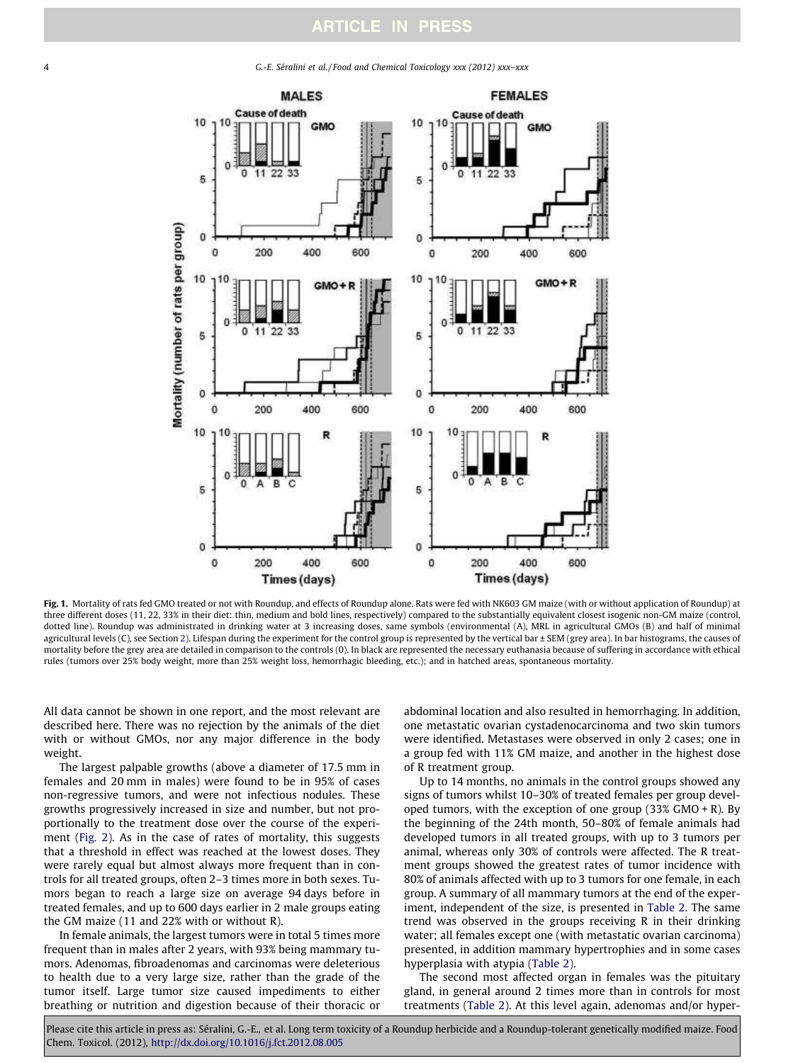<span id="page-3-0"></span>4 G.-E. Séralini et al. / Food and Chemical Toxicology xxx (2012) xxx–xxx



Fig. 1. Mortality of rats fed GMO treated or not with Roundup, and effects of Roundup alone. Rats were fed with NK603 GM maize (with or without application of Roundup) at three different doses (11, 22, 33% in their diet: thin, medium and bold lines, respectively) compared to the substantially equivalent closest isogenic non-GM maize (control, dotted line). Roundup was administrated in drinking water at 3 increasing doses, same symbols (environmental (A), MRL in agricultural GMOs (B) and half of minimal agricultural levels (C), see Section [2\)](#page-1-0). Lifespan during the experiment for the control group is represented by the vertical bar ± SEM (grey area). In bar histograms, the causes of mortality before the grey area are detailed in comparison to the controls (0). In black are represented the necessary euthanasia because of suffering in accordance with ethical rules (tumors over 25% body weight, more than 25% weight loss, hemorrhagic bleeding, etc.); and in hatched areas, spontaneous mortality.

All data cannot be shown in one report, and the most relevant are described here. There was no rejection by the animals of the diet with or without GMOs, nor any major difference in the body weight.

The largest palpable growths (above a diameter of 17.5 mm in females and 20 mm in males) were found to be in 95% of cases non-regressive tumors, and were not infectious nodules. These growths progressively increased in size and number, but not proportionally to the treatment dose over the course of the experiment [\(Fig. 2\)](#page-4-0). As in the case of rates of mortality, this suggests that a threshold in effect was reached at the lowest doses. They were rarely equal but almost always more frequent than in controls for all treated groups, often 2–3 times more in both sexes. Tumors began to reach a large size on average 94 days before in treated females, and up to 600 days earlier in 2 male groups eating the GM maize (11 and 22% with or without R).

In female animals, the largest tumors were in total 5 times more frequent than in males after 2 years, with 93% being mammary tumors. Adenomas, fibroadenomas and carcinomas were deleterious to health due to a very large size, rather than the grade of the tumor itself. Large tumor size caused impediments to either breathing or nutrition and digestion because of their thoracic or abdominal location and also resulted in hemorrhaging. In addition, one metastatic ovarian cystadenocarcinoma and two skin tumors were identified. Metastases were observed in only 2 cases; one in a group fed with 11% GM maize, and another in the highest dose of R treatment group.

Up to 14 months, no animals in the control groups showed any signs of tumors whilst 10–30% of treated females per group developed tumors, with the exception of one group (33%  $GMO + R$ ). By the beginning of the 24th month, 50–80% of female animals had developed tumors in all treated groups, with up to 3 tumors per animal, whereas only 30% of controls were affected. The R treatment groups showed the greatest rates of tumor incidence with 80% of animals affected with up to 3 tumors for one female, in each group. A summary of all mammary tumors at the end of the experiment, independent of the size, is presented in [Table 2](#page-4-0). The same trend was observed in the groups receiving R in their drinking water; all females except one (with metastatic ovarian carcinoma) presented, in addition mammary hypertrophies and in some cases hyperplasia with atypia [\(Table 2](#page-4-0)).

The second most affected organ in females was the pituitary gland, in general around 2 times more than in controls for most treatments [\(Table 2\)](#page-4-0). At this level again, adenomas and/or hyper-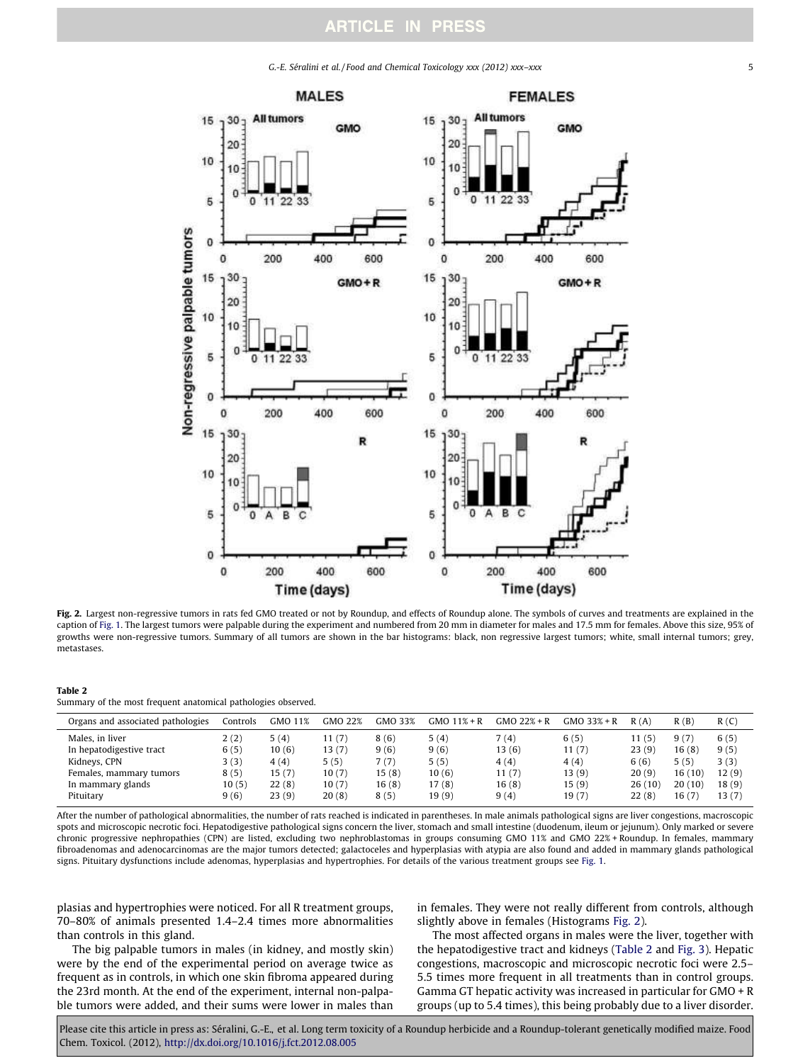G.-E. Séralini et al. / Food and Chemical Toxicology xxx (2012) xxx–xxx 5

<span id="page-4-0"></span>

Fig. 2. Largest non-regressive tumors in rats fed GMO treated or not by Roundup, and effects of Roundup alone. The symbols of curves and treatments are explained in the caption of [Fig. 1](#page-3-0). The largest tumors were palpable during the experiment and numbered from 20 mm in diameter for males and 17.5 mm for females. Above this size, 95% of growths were non-regressive tumors. Summary of all tumors are shown in the bar histograms: black, non regressive largest tumors; white, small internal tumors; grey, metastases.

## Table 2

Summary of the most frequent anatomical pathologies observed.

| Organs and associated pathologies            | Controls      | GMO 11%        | GMO 22%         | GMO 33%        | $GMO 11% + R$  | $GMO 22% + R$   | $GMO 33% + R$   | R(A)            | R(B)             | R(C)           |
|----------------------------------------------|---------------|----------------|-----------------|----------------|----------------|-----------------|-----------------|-----------------|------------------|----------------|
| Males, in liver<br>In hepatodigestive tract  | 2(2)<br>6(5)  | 5(4)<br>10(6)  | 11 (7)<br>13(7) | 8(6)<br>9(6)   | 5(4)<br>9(6)   | 7(4)<br>13 (6)  | 6(5)<br>11(7)   | 11 (5)<br>23(9) | 9(7)<br>16(8)    | 6(5)<br>9(5)   |
| Kidneys, CPN                                 | 3(3)          | 4(4)           | 5(5)            | 7 (7)          | 5(5)           | 4(4)            | 4(4)            | 6(6)            | 5(5)             | 3(3)           |
| Females, mammary tumors<br>In mammary glands | 8(5)<br>10(5) | 15(7)<br>22(8) | 10(7)<br>10(7)  | 15(8)<br>16(8) | 10(6)<br>17(8) | 11 (7)<br>16(8) | 13(9)<br>15 (9) | 20(9)<br>26(10) | 16(10)<br>20(10) | 12(9)<br>18(9) |
| Pituitary                                    | 9(6)          | 23(9)          | 20(8)           | 8(5)           | 19 (9)         | 9(4)            | 19(7)           | 22(8)           | 16(7)            | 13 (7)         |

After the number of pathological abnormalities, the number of rats reached is indicated in parentheses. In male animals pathological signs are liver congestions, macroscopic spots and microscopic necrotic foci. Hepatodigestive pathological signs concern the liver, stomach and small intestine (duodenum, ileum or jejunum). Only marked or severe chronic progressive nephropathies (CPN) are listed, excluding two nephroblastomas in groups consuming GMO 11% and GMO 22% + Roundup. In females, mammary fibroadenomas and adenocarcinomas are the major tumors detected; galactoceles and hyperplasias with atypia are also found and added in mammary glands pathological signs. Pituitary dysfunctions include adenomas, hyperplasias and hypertrophies. For details of the various treatment groups see [Fig. 1.](#page-3-0)

plasias and hypertrophies were noticed. For all R treatment groups, 70–80% of animals presented 1.4–2.4 times more abnormalities than controls in this gland.

in females. They were not really different from controls, although slightly above in females (Histograms Fig. 2).

The big palpable tumors in males (in kidney, and mostly skin) were by the end of the experimental period on average twice as frequent as in controls, in which one skin fibroma appeared during the 23rd month. At the end of the experiment, internal non-palpable tumors were added, and their sums were lower in males than

The most affected organs in males were the liver, together with the hepatodigestive tract and kidneys (Table 2 and [Fig. 3](#page-5-0)). Hepatic congestions, macroscopic and microscopic necrotic foci were 2.5– 5.5 times more frequent in all treatments than in control groups. Gamma GT hepatic activity was increased in particular for GMO + R groups (up to 5.4 times), this being probably due to a liver disorder.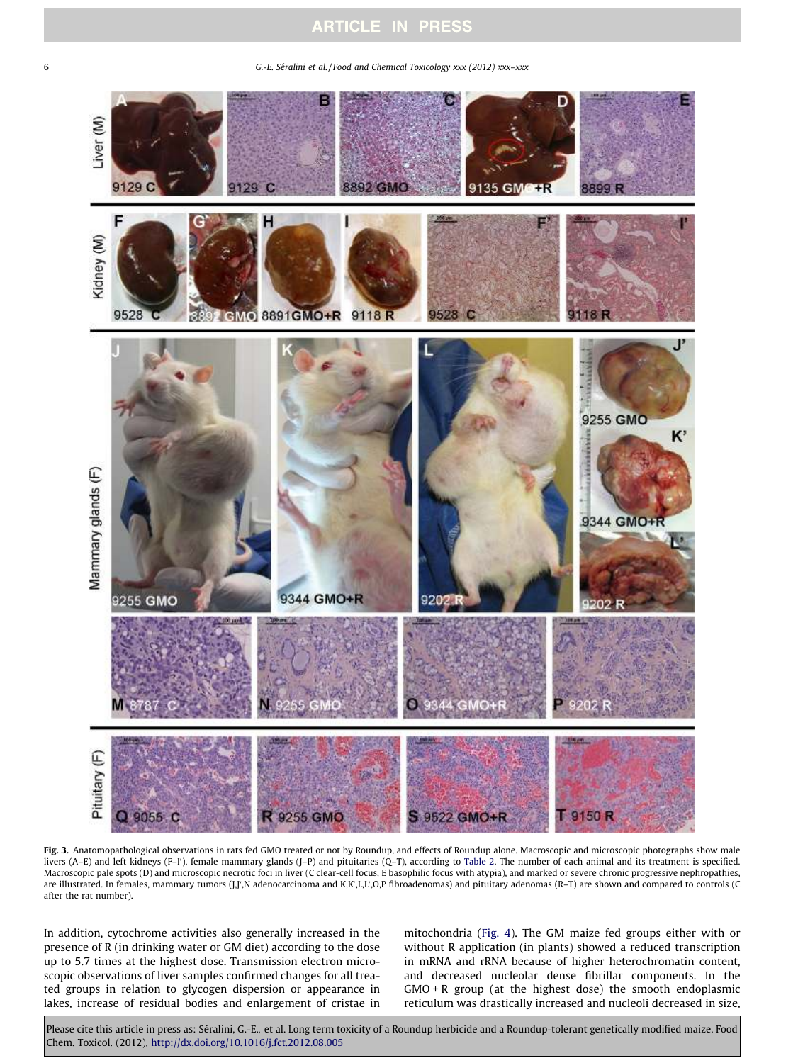<span id="page-5-0"></span>6 G.-E. Séralini et al. / Food and Chemical Toxicology xxx (2012) xxx–xxx



Fig. 3. Anatomopathological observations in rats fed GMO treated or not by Roundup, and effects of Roundup alone. Macroscopic and microscopic photographs show male livers (A–E) and left kidneys (F–I'), female mammary glands (J–P) and pituitaries (Q–T), according to [Table 2](#page-4-0). The number of each animal and its treatment is specified. Macroscopic pale spots (D) and microscopic necrotic foci in liver (C clear-cell focus, E basophilic focus with atypia), and marked or severe chronic progressive nephropathies, are illustrated. In females, mammary tumors (J,J',N adenocarcinoma and K,K',L,L',O,P fibroadenomas) and pituitary adenomas (R–T) are shown and compared to controls (C after the rat number).

In addition, cytochrome activities also generally increased in the presence of R (in drinking water or GM diet) according to the dose up to 5.7 times at the highest dose. Transmission electron microscopic observations of liver samples confirmed changes for all treated groups in relation to glycogen dispersion or appearance in lakes, increase of residual bodies and enlargement of cristae in mitochondria ([Fig. 4](#page-6-0)). The GM maize fed groups either with or without R application (in plants) showed a reduced transcription in mRNA and rRNA because of higher heterochromatin content, and decreased nucleolar dense fibrillar components. In the GMO + R group (at the highest dose) the smooth endoplasmic reticulum was drastically increased and nucleoli decreased in size,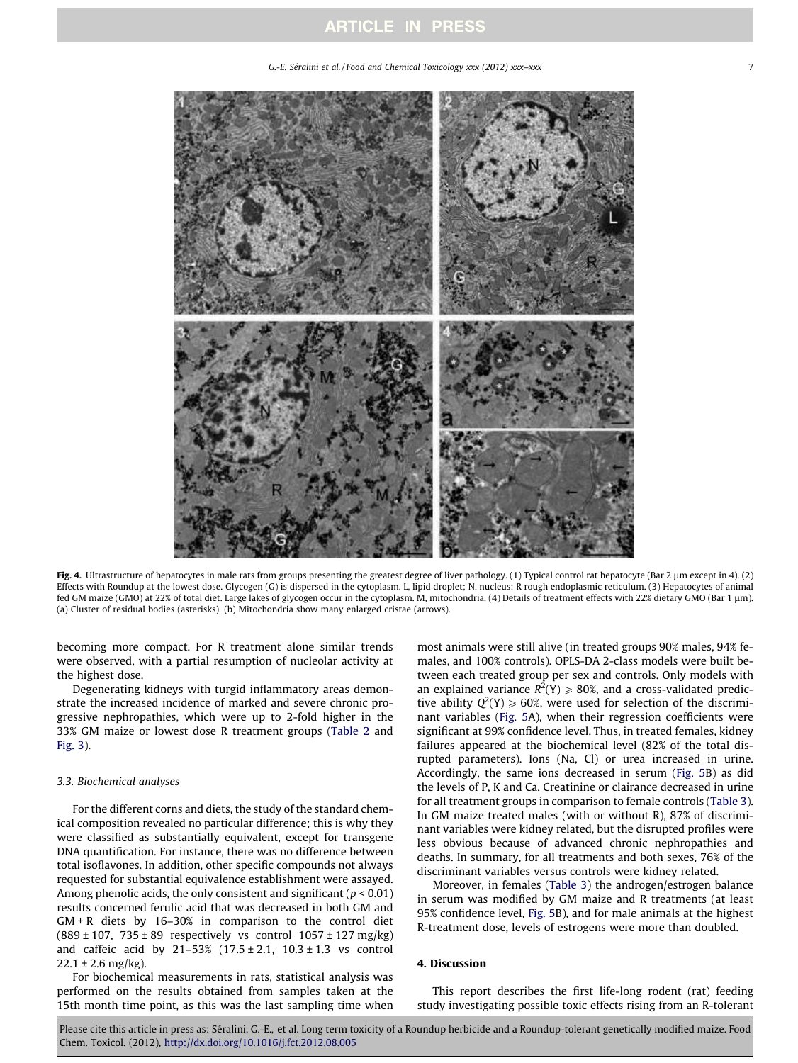G.-E. Séralini et al. / Food and Chemical Toxicology xxx (2012) xxx–xxx 7

<span id="page-6-0"></span>

Fig. 4. Ultrastructure of hepatocytes in male rats from groups presenting the greatest degree of liver pathology. (1) Typical control rat hepatocyte (Bar 2 µm except in 4). (2) Effects with Roundup at the lowest dose. Glycogen (G) is dispersed in the cytoplasm. L, lipid droplet; N, nucleus; R rough endoplasmic reticulum. (3) Hepatocytes of animal fed GM maize (GMO) at 22% of total diet. Large lakes of glycogen occur in the cytoplasm. M, mitochondria. (4) Details of treatment effects with 22% dietary GMO (Bar 1 µm). (a) Cluster of residual bodies (asterisks). (b) Mitochondria show many enlarged cristae (arrows).

becoming more compact. For R treatment alone similar trends were observed, with a partial resumption of nucleolar activity at the highest dose.

Degenerating kidneys with turgid inflammatory areas demonstrate the increased incidence of marked and severe chronic progressive nephropathies, which were up to 2-fold higher in the 33% GM maize or lowest dose R treatment groups [\(Table 2](#page-4-0) and [Fig. 3\)](#page-5-0).

### 3.3. Biochemical analyses

For the different corns and diets, the study of the standard chemical composition revealed no particular difference; this is why they were classified as substantially equivalent, except for transgene DNA quantification. For instance, there was no difference between total isoflavones. In addition, other specific compounds not always requested for substantial equivalence establishment were assayed. Among phenolic acids, the only consistent and significant ( $p < 0.01$ ) results concerned ferulic acid that was decreased in both GM and  $GM + R$  diets by 16-30% in comparison to the control diet (889 ± 107, 735 ± 89 respectively vs control 1057 ± 127 mg/kg) and caffeic acid by  $21-53\%$   $(17.5 \pm 2.1, 10.3 \pm 1.3$  vs control  $22.1 \pm 2.6$  mg/kg).

For biochemical measurements in rats, statistical analysis was performed on the results obtained from samples taken at the 15th month time point, as this was the last sampling time when most animals were still alive (in treated groups 90% males, 94% females, and 100% controls). OPLS-DA 2-class models were built between each treated group per sex and controls. Only models with an explained variance  $R^2(Y) \ge 80\%$ , and a cross-validated predictive ability  $Q^2(Y) \ge 60\%$ , were used for selection of the discriminant variables ([Fig. 5](#page-7-0)A), when their regression coefficients were significant at 99% confidence level. Thus, in treated females, kidney failures appeared at the biochemical level (82% of the total disrupted parameters). Ions (Na, Cl) or urea increased in urine. Accordingly, the same ions decreased in serum [\(Fig. 5B](#page-7-0)) as did the levels of P, K and Ca. Creatinine or clairance decreased in urine for all treatment groups in comparison to female controls ([Table 3\)](#page-8-0). In GM maize treated males (with or without R), 87% of discriminant variables were kidney related, but the disrupted profiles were less obvious because of advanced chronic nephropathies and deaths. In summary, for all treatments and both sexes, 76% of the discriminant variables versus controls were kidney related.

Moreover, in females [\(Table 3](#page-8-0)) the androgen/estrogen balance in serum was modified by GM maize and R treatments (at least 95% confidence level, [Fig. 5B](#page-7-0)), and for male animals at the highest R-treatment dose, levels of estrogens were more than doubled.

# 4. Discussion

This report describes the first life-long rodent (rat) feeding study investigating possible toxic effects rising from an R-tolerant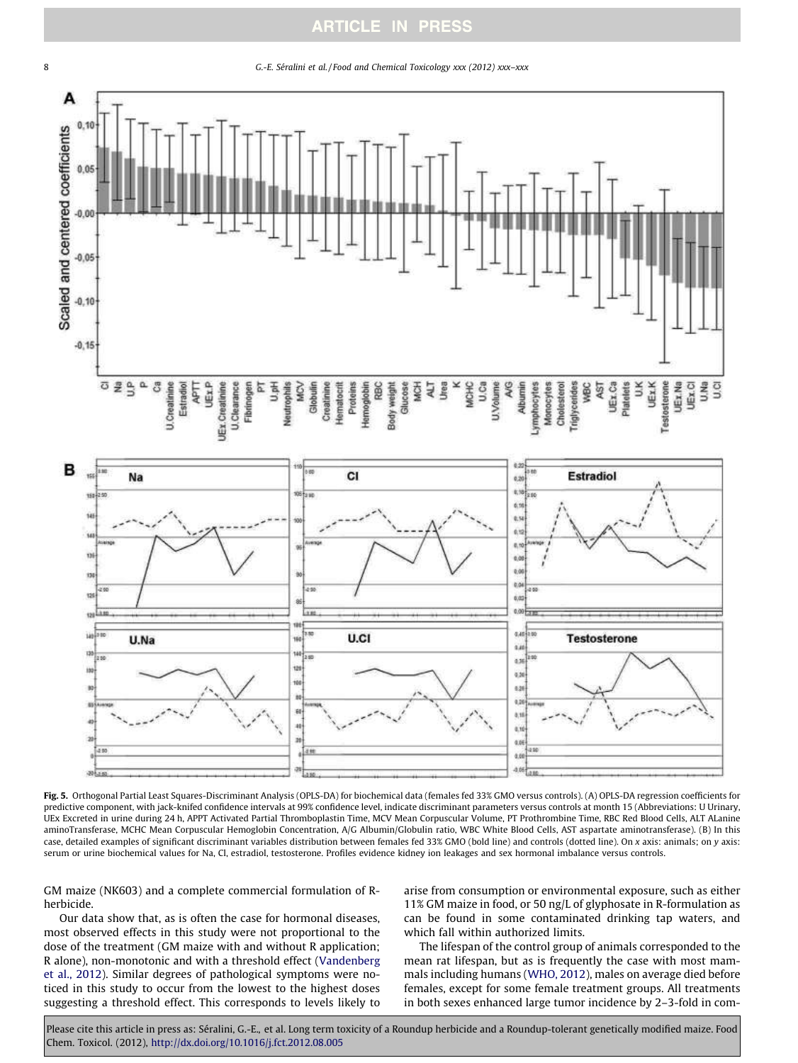## <span id="page-7-0"></span>8 G.-E. Séralini et al. / Food and Chemical Toxicology xxx (2012) xxx–xxx



Fig. 5. Orthogonal Partial Least Squares-Discriminant Analysis (OPLS-DA) for biochemical data (females fed 33% GMO versus controls). (A) OPLS-DA regression coefficients for predictive component, with jack-knifed confidence intervals at 99% confidence level, indicate discriminant parameters versus controls at month 15 (Abbreviations: U Urinary, UEx Excreted in urine during 24 h, APPT Activated Partial Thromboplastin Time, MCV Mean Corpuscular Volume, PT Prothrombine Time, RBC Red Blood Cells, ALT ALanine aminoTransferase, MCHC Mean Corpuscular Hemoglobin Concentration, A/G Albumin/Globulin ratio, WBC White Blood Cells, AST aspartate aminotransferase). (B) In this case, detailed examples of significant discriminant variables distribution between females fed 33% GMO (bold line) and controls (dotted line). On x axis: animals; on y axis: serum or urine biochemical values for Na, Cl, estradiol, testosterone. Profiles evidence kidney ion leakages and sex hormonal imbalance versus controls.

GM maize (NK603) and a complete commercial formulation of Rherbicide.

Our data show that, as is often the case for hormonal diseases, most observed effects in this study were not proportional to the dose of the treatment (GM maize with and without R application; R alone), non-monotonic and with a threshold effect [\(Vandenberg](#page-10-0) [et al., 2012\)](#page-10-0). Similar degrees of pathological symptoms were noticed in this study to occur from the lowest to the highest doses suggesting a threshold effect. This corresponds to levels likely to arise from consumption or environmental exposure, such as either 11% GM maize in food, or 50 ng/L of glyphosate in R-formulation as can be found in some contaminated drinking tap waters, and which fall within authorized limits.

The lifespan of the control group of animals corresponded to the mean rat lifespan, but as is frequently the case with most mammals including humans [\(WHO, 2012](#page-10-0)), males on average died before females, except for some female treatment groups. All treatments in both sexes enhanced large tumor incidence by 2–3-fold in com-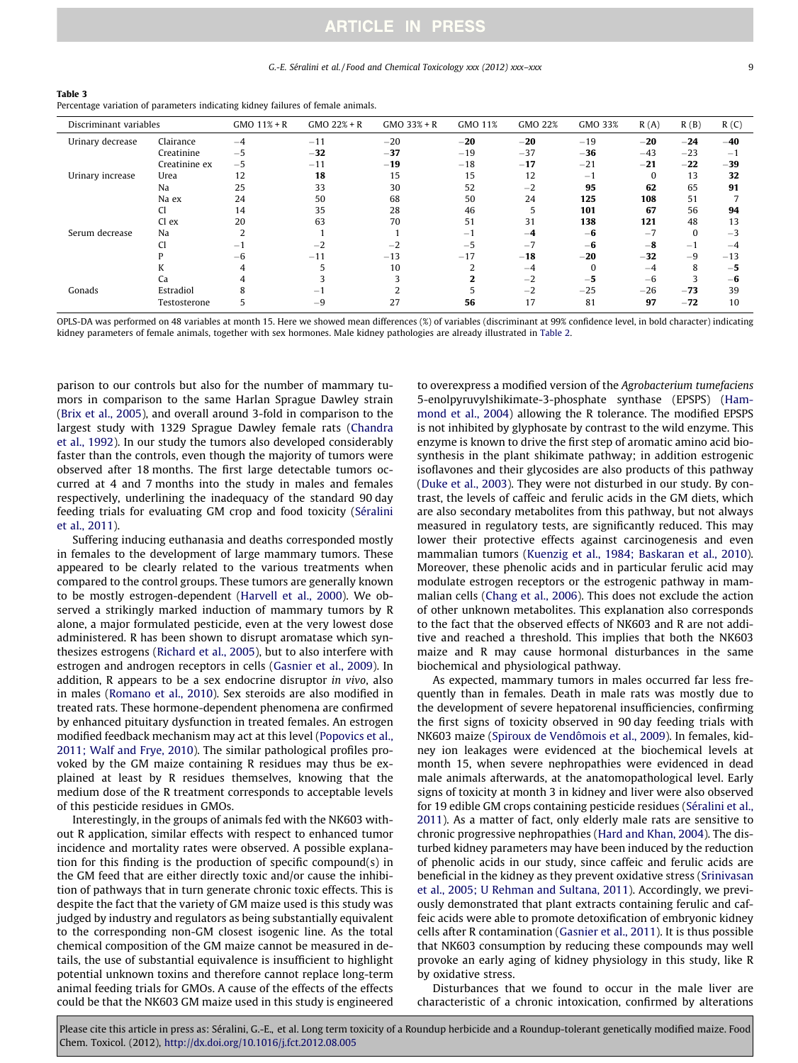# G.-E. Séralini et al. / Food and Chemical Toxicology xxx (2012) xxx–xxx 9

<span id="page-8-0"></span>

| Table 3                                                                          |  |
|----------------------------------------------------------------------------------|--|
| Percentage variation of parameters indicating kidney failures of female animals. |  |

| Discriminant variables |               | $GMO 11% + R$ | $GMO 22% + R$ | $GMO 33% + R$ | GMO 11% | GMO 22% | GMO 33% | R(A)     | R(B)     | R(C)  |
|------------------------|---------------|---------------|---------------|---------------|---------|---------|---------|----------|----------|-------|
| Urinary decrease       | Clairance     | $-4$          | $-11$         | $-20$         | $-20$   | $-20$   | $-19$   | $-20$    | $-24$    | $-40$ |
|                        | Creatinine    | $-5$          | $-32$         | $-37$         | $-19$   | $-37$   | $-36$   | $-43$    | $-23$    | $-1$  |
|                        | Creatinine ex | $-5$          | $-11$         | $-19$         | $-18$   | $-17$   | $-21$   | $-21$    | $-22$    | $-39$ |
| Urinary increase       | Urea          | 12            | 18            | 15            | 15      | 12      | $-1$    | $\Omega$ | 13       | 32    |
|                        | Na            | 25            | 33            | 30            | 52      | $-2$    | 95      | 62       | 65       | 91    |
|                        | Na ex         | 24            | 50            | 68            | 50      | 24      | 125     | 108      | 51       |       |
|                        | Cl            | 14            | 35            | 28            | 46      |         | 101     | 67       | 56       | 94    |
|                        | Cl ex         | 20            | 63            | 70            | 51      | 31      | 138     | 121      | 48       | 13    |
| Serum decrease         | Na            |               |               |               | $-1$    | $-4$    | $-6$    | $-7$     | $\bf{0}$ | $-3$  |
|                        | Cl            | $-1$          | $-2$          | $-2$          | $-5$    | $-7$    | $-6$    | $-8$     | $-1$     | $-4$  |
|                        |               | $-6$          | $-11$         | $-13$         | $-17$   | $-18$   | $-20$   | $-32$    | $-9$     | $-13$ |
|                        |               |               |               | 10            |         | $-4$    |         | $-4$     | 8        | $-5$  |
|                        | Ca            |               |               | ົ             |         | $-2$    | $-5$    | $-6$     | κ        | $-6$  |
| Gonads                 | Estradiol     | 8             | - 1           |               |         | $-2$    | $-25$   | $-26$    | $-73$    | 39    |
|                        | Testosterone  |               | $-9$          | 27            | 56      | 17      | 81      | 97       | $-72$    | 10    |

OPLS-DA was performed on 48 variables at month 15. Here we showed mean differences (%) of variables (discriminant at 99% confidence level, in bold character) indicating kidney parameters of female animals, together with sex hormones. Male kidney pathologies are already illustrated in [Table 2.](#page-4-0)

parison to our controls but also for the number of mammary tumors in comparison to the same Harlan Sprague Dawley strain ([Brix et al., 2005\)](#page-9-0), and overall around 3-fold in comparison to the largest study with 1329 Sprague Dawley female rats [\(Chandra](#page-9-0) [et al., 1992\)](#page-9-0). In our study the tumors also developed considerably faster than the controls, even though the majority of tumors were observed after 18 months. The first large detectable tumors occurred at 4 and 7 months into the study in males and females respectively, underlining the inadequacy of the standard 90 day feeding trials for evaluating GM crop and food toxicity [\(Séralini](#page-10-0) [et al., 2011\)](#page-10-0).

Suffering inducing euthanasia and deaths corresponded mostly in females to the development of large mammary tumors. These appeared to be clearly related to the various treatments when compared to the control groups. These tumors are generally known to be mostly estrogen-dependent ([Harvell et al., 2000](#page-9-0)). We observed a strikingly marked induction of mammary tumors by R alone, a major formulated pesticide, even at the very lowest dose administered. R has been shown to disrupt aromatase which synthesizes estrogens [\(Richard et al., 2005](#page-10-0)), but to also interfere with estrogen and androgen receptors in cells [\(Gasnier et al., 2009](#page-9-0)). In addition, R appears to be a sex endocrine disruptor in vivo, also in males ([Romano et al., 2010\)](#page-10-0). Sex steroids are also modified in treated rats. These hormone-dependent phenomena are confirmed by enhanced pituitary dysfunction in treated females. An estrogen modified feedback mechanism may act at this level ([Popovics et al.,](#page-10-0) [2011; Walf and Frye, 2010](#page-10-0)). The similar pathological profiles provoked by the GM maize containing R residues may thus be explained at least by R residues themselves, knowing that the medium dose of the R treatment corresponds to acceptable levels of this pesticide residues in GMOs.

Interestingly, in the groups of animals fed with the NK603 without R application, similar effects with respect to enhanced tumor incidence and mortality rates were observed. A possible explanation for this finding is the production of specific compound(s) in the GM feed that are either directly toxic and/or cause the inhibition of pathways that in turn generate chronic toxic effects. This is despite the fact that the variety of GM maize used is this study was judged by industry and regulators as being substantially equivalent to the corresponding non-GM closest isogenic line. As the total chemical composition of the GM maize cannot be measured in details, the use of substantial equivalence is insufficient to highlight potential unknown toxins and therefore cannot replace long-term animal feeding trials for GMOs. A cause of the effects of the effects could be that the NK603 GM maize used in this study is engineered to overexpress a modified version of the Agrobacterium tumefaciens 5-enolpyruvylshikimate-3-phosphate synthase (EPSPS) [\(Ham](#page-9-0)[mond et al., 2004](#page-9-0)) allowing the R tolerance. The modified EPSPS is not inhibited by glyphosate by contrast to the wild enzyme. This enzyme is known to drive the first step of aromatic amino acid biosynthesis in the plant shikimate pathway; in addition estrogenic isoflavones and their glycosides are also products of this pathway ([Duke et al., 2003\)](#page-9-0). They were not disturbed in our study. By contrast, the levels of caffeic and ferulic acids in the GM diets, which are also secondary metabolites from this pathway, but not always measured in regulatory tests, are significantly reduced. This may lower their protective effects against carcinogenesis and even mammalian tumors ([Kuenzig et al., 1984; Baskaran et al., 2010\)](#page-9-0). Moreover, these phenolic acids and in particular ferulic acid may modulate estrogen receptors or the estrogenic pathway in mammalian cells ([Chang et al., 2006](#page-9-0)). This does not exclude the action of other unknown metabolites. This explanation also corresponds to the fact that the observed effects of NK603 and R are not additive and reached a threshold. This implies that both the NK603 maize and R may cause hormonal disturbances in the same biochemical and physiological pathway.

As expected, mammary tumors in males occurred far less frequently than in females. Death in male rats was mostly due to the development of severe hepatorenal insufficiencies, confirming the first signs of toxicity observed in 90 day feeding trials with NK603 maize ([Spiroux de Vendômois et al., 2009\)](#page-10-0). In females, kidney ion leakages were evidenced at the biochemical levels at month 15, when severe nephropathies were evidenced in dead male animals afterwards, at the anatomopathological level. Early signs of toxicity at month 3 in kidney and liver were also observed for 19 edible GM crops containing pesticide residues [\(Séralini et al.,](#page-10-0) [2011](#page-10-0)). As a matter of fact, only elderly male rats are sensitive to chronic progressive nephropathies [\(Hard and Khan, 2004](#page-9-0)). The disturbed kidney parameters may have been induced by the reduction of phenolic acids in our study, since caffeic and ferulic acids are beneficial in the kidney as they prevent oxidative stress ([Srinivasan](#page-10-0) [et al., 2005; U Rehman and Sultana, 2011](#page-10-0)). Accordingly, we previously demonstrated that plant extracts containing ferulic and caffeic acids were able to promote detoxification of embryonic kidney cells after R contamination ([Gasnier et al., 2011\)](#page-9-0). It is thus possible that NK603 consumption by reducing these compounds may well provoke an early aging of kidney physiology in this study, like R by oxidative stress.

Disturbances that we found to occur in the male liver are characteristic of a chronic intoxication, confirmed by alterations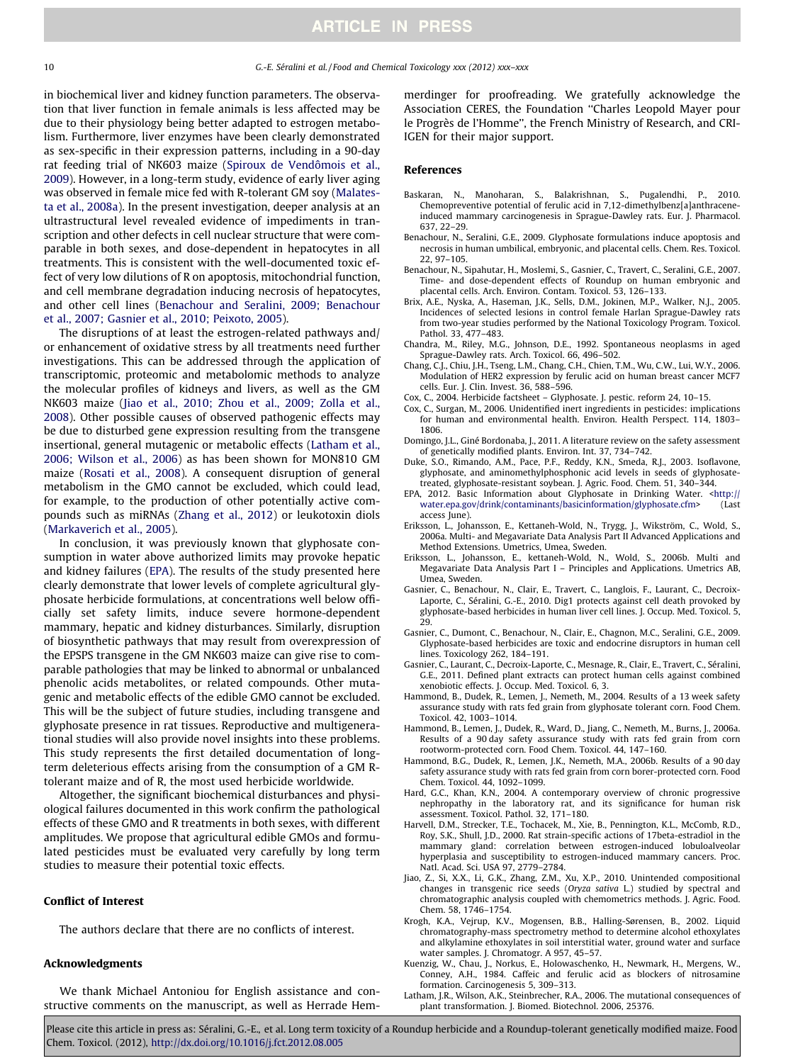<span id="page-9-0"></span>

in biochemical liver and kidney function parameters. The observation that liver function in female animals is less affected may be due to their physiology being better adapted to estrogen metabolism. Furthermore, liver enzymes have been clearly demonstrated as sex-specific in their expression patterns, including in a 90-day rat feeding trial of NK603 maize [\(Spiroux de Vendômois et al.,](#page-10-0) [2009\)](#page-10-0). However, in a long-term study, evidence of early liver aging was observed in female mice fed with R-tolerant GM soy ([Malates](#page-10-0)[ta et al., 2008a](#page-10-0)). In the present investigation, deeper analysis at an ultrastructural level revealed evidence of impediments in transcription and other defects in cell nuclear structure that were comparable in both sexes, and dose-dependent in hepatocytes in all treatments. This is consistent with the well-documented toxic effect of very low dilutions of R on apoptosis, mitochondrial function, and cell membrane degradation inducing necrosis of hepatocytes, and other cell lines (Benachour and Seralini, 2009; Benachour et al., 2007; Gasnier et al., 2010; Peixoto, 2005).

The disruptions of at least the estrogen-related pathways and/ or enhancement of oxidative stress by all treatments need further investigations. This can be addressed through the application of transcriptomic, proteomic and metabolomic methods to analyze the molecular profiles of kidneys and livers, as well as the GM NK603 maize (Jiao et al., 2010; Zhou et al., 2009; Zolla et al., 2008). Other possible causes of observed pathogenic effects may be due to disturbed gene expression resulting from the transgene insertional, general mutagenic or metabolic effects (Latham et al., 2006; Wilson et al., 2006) as has been shown for MON810 GM maize ([Rosati et al., 2008\)](#page-10-0). A consequent disruption of general metabolism in the GMO cannot be excluded, which could lead, for example, to the production of other potentially active compounds such as miRNAs [\(Zhang et al., 2012\)](#page-10-0) or leukotoxin diols ([Markaverich et al., 2005\)](#page-10-0).

In conclusion, it was previously known that glyphosate consumption in water above authorized limits may provoke hepatic and kidney failures (EPA). The results of the study presented here clearly demonstrate that lower levels of complete agricultural glyphosate herbicide formulations, at concentrations well below officially set safety limits, induce severe hormone-dependent mammary, hepatic and kidney disturbances. Similarly, disruption of biosynthetic pathways that may result from overexpression of the EPSPS transgene in the GM NK603 maize can give rise to comparable pathologies that may be linked to abnormal or unbalanced phenolic acids metabolites, or related compounds. Other mutagenic and metabolic effects of the edible GMO cannot be excluded. This will be the subject of future studies, including transgene and glyphosate presence in rat tissues. Reproductive and multigenerational studies will also provide novel insights into these problems. This study represents the first detailed documentation of longterm deleterious effects arising from the consumption of a GM Rtolerant maize and of R, the most used herbicide worldwide.

Altogether, the significant biochemical disturbances and physiological failures documented in this work confirm the pathological effects of these GMO and R treatments in both sexes, with different amplitudes. We propose that agricultural edible GMOs and formulated pesticides must be evaluated very carefully by long term studies to measure their potential toxic effects.

#### Conflict of Interest

The authors declare that there are no conflicts of interest.

## Acknowledgments

We thank Michael Antoniou for English assistance and constructive comments on the manuscript, as well as Herrade Hemmerdinger for proofreading. We gratefully acknowledge the Association CERES, the Foundation ''Charles Leopold Mayer pour le Progrès de l'Homme'', the French Ministry of Research, and CRI-IGEN for their major support.

#### References

- Baskaran, N., Manoharan, S., Balakrishnan, S., Pugalendhi, P., 2010. Chemopreventive potential of ferulic acid in 7,12-dimethylbenz[a]anthraceneinduced mammary carcinogenesis in Sprague-Dawley rats. Eur. J. Pharmacol. 637, 22–29.
- Benachour, N., Seralini, G.E., 2009. Glyphosate formulations induce apoptosis and necrosis in human umbilical, embryonic, and placental cells. Chem. Res. Toxicol. 22, 97–105.
- Benachour, N., Sipahutar, H., Moslemi, S., Gasnier, C., Travert, C., Seralini, G.E., 2007. Time- and dose-dependent effects of Roundup on human embryonic and placental cells. Arch. Environ. Contam. Toxicol. 53, 126–133.
- Brix, A.E., Nyska, A., Haseman, J.K., Sells, D.M., Jokinen, M.P., Walker, N.J., 2005. Incidences of selected lesions in control female Harlan Sprague-Dawley rats from two-year studies performed by the National Toxicology Program. Toxicol. Pathol. 33, 477–483.
- Chandra, M., Riley, M.G., Johnson, D.E., 1992. Spontaneous neoplasms in aged Sprague-Dawley rats. Arch. Toxicol. 66, 496–502.
- Chang, C.J., Chiu, J.H., Tseng, L.M., Chang, C.H., Chien, T.M., Wu, C.W., Lui, W.Y., 2006. Modulation of HER2 expression by ferulic acid on human breast cancer MCF7 cells. Eur. J. Clin. Invest. 36, 588–596.
- Cox, C., 2004. Herbicide factsheet Glyphosate. J. pestic. reform 24, 10–15.
- Cox, C., Surgan, M., 2006. Unidentified inert ingredients in pesticides: implications for human and environmental health. Environ. Health Perspect. 114, 1803– 1806.
- Domingo, J.L., Giné Bordonaba, J., 2011. A literature review on the safety assessment of genetically modified plants. Environ. Int. 37, 734–742.
- Duke, S.O., Rimando, A.M., Pace, P.F., Reddy, K.N., Smeda, R.J., 2003. Isoflavone, glyphosate, and aminomethylphosphonic acid levels in seeds of glyphosatetreated, glyphosate-resistant soybean. J. Agric. Food. Chem. 51, 340–344.
- EPA, 2012. Basic Information about Glyphosate in Drinking Water. [<http://](http://water.epa.gov/drink/contaminants/basicinformation/glyphosate.cfm) [water.epa.gov/drink/contaminants/basicinformation/glyphosate.cfm>](http://water.epa.gov/drink/contaminants/basicinformation/glyphosate.cfm) (Last access June).
- Eriksson, L., Johansson, E., Kettaneh-Wold, N., Trygg, J., Wikström, C., Wold, S., 2006a. Multi- and Megavariate Data Analysis Part II Advanced Applications and Method Extensions. Umetrics, Umea, Sweden.
- Eriksson, L., Johansson, E., kettaneh-Wold, N., Wold, S., 2006b. Multi and Megavariate Data Analysis Part I – Principles and Applications. Umetrics AB, Umea, Sweden.
- Gasnier, C., Benachour, N., Clair, E., Travert, C., Langlois, F., Laurant, C., Decroix-Laporte, C., Séralini, G.-E., 2010. Dig1 protects against cell death provoked by glyphosate-based herbicides in human liver cell lines. J. Occup. Med. Toxicol. 5, 29.
- Gasnier, C., Dumont, C., Benachour, N., Clair, E., Chagnon, M.C., Seralini, G.E., 2009. Glyphosate-based herbicides are toxic and endocrine disruptors in human cell lines. Toxicology 262, 184–191.
- Gasnier, C., Laurant, C., Decroix-Laporte, C., Mesnage, R., Clair, E., Travert, C., Séralini, G.E., 2011. Defined plant extracts can protect human cells against combined xenobiotic effects. J. Occup. Med. Toxicol. 6, 3.
- Hammond, B., Dudek, R., Lemen, J., Nemeth, M., 2004. Results of a 13 week safety assurance study with rats fed grain from glyphosate tolerant corn. Food Chem. Toxicol. 42, 1003–1014.
- Hammond, B., Lemen, J., Dudek, R., Ward, D., Jiang, C., Nemeth, M., Burns, J., 2006a. Results of a 90 day safety assurance study with rats fed grain from corn rootworm-protected corn. Food Chem. Toxicol. 44, 147–160.
- Hammond, B.G., Dudek, R., Lemen, J.K., Nemeth, M.A., 2006b. Results of a 90 day safety assurance study with rats fed grain from corn borer-protected corn. Food Chem. Toxicol. 44, 1092–1099.
- Hard, G.C., Khan, K.N., 2004. A contemporary overview of chronic progressive nephropathy in the laboratory rat, and its significance for human risk assessment. Toxicol. Pathol. 32, 171–180.
- Harvell, D.M., Strecker, T.E., Tochacek, M., Xie, B., Pennington, K.L., McComb, R.D., Roy, S.K., Shull, J.D., 2000. Rat strain-specific actions of 17beta-estradiol in the mammary gland: correlation between estrogen-induced lobuloalveolar hyperplasia and susceptibility to estrogen-induced mammary cancers. Proc. Natl. Acad. Sci. USA 97, 2779–2784.
- Jiao, Z., Si, X.X., Li, G.K., Zhang, Z.M., Xu, X.P., 2010. Unintended compositional changes in transgenic rice seeds (Oryza sativa L.) studied by spectral and chromatographic analysis coupled with chemometrics methods. J. Agric. Food. Chem. 58, 1746–1754.
- Krogh, K.A., Vejrup, K.V., Mogensen, B.B., Halling-Sørensen, B., 2002. Liquid chromatography-mass spectrometry method to determine alcohol ethoxylates and alkylamine ethoxylates in soil interstitial water, ground water and surface water samples. J. Chromatogr. A 957, 45–57.
- Kuenzig, W., Chau, J., Norkus, E., Holowaschenko, H., Newmark, H., Mergens, W., Conney, A.H., 1984. Caffeic and ferulic acid as blockers of nitrosamine formation. Carcinogenesis 5, 309–313.
- Latham, J.R., Wilson, A.K., Steinbrecher, R.A., 2006. The mutational consequences of plant transformation. J. Biomed. Biotechnol. 2006, 25376.